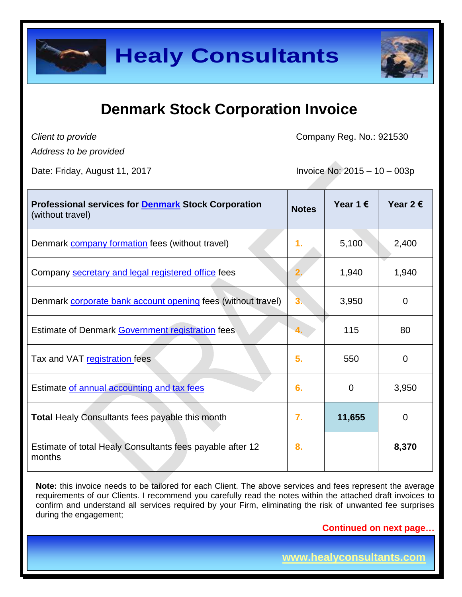

### **Denmark Stock Corporation Invoice**

*Client to provide*

Company Reg. No.: 921530

*Address to be provided*

Date: Friday, August 11, 2017 **Invoice No: 2015 – 10 – 003p** 

| <b>Professional services for Denmark Stock Corporation</b><br>(without travel) | <b>Notes</b> | Year 1 $\epsilon$ | Year 2 $\epsilon$ |
|--------------------------------------------------------------------------------|--------------|-------------------|-------------------|
| Denmark company formation fees (without travel)                                | 1.           | 5,100             | 2,400             |
| Company secretary and legal registered office fees                             |              | 1,940             | 1,940             |
| Denmark corporate bank account opening fees (without travel)                   | 3.           | 3,950             | $\mathbf 0$       |
| Estimate of Denmark Government registration fees                               |              | 115               | 80                |
| Tax and VAT registration fees                                                  | 5.           | 550               | 0                 |
| Estimate of annual accounting and tax fees                                     | 6.           | $\Omega$          | 3,950             |
| <b>Total Healy Consultants fees payable this month</b>                         | 7.           | 11,655            | $\mathbf 0$       |
| Estimate of total Healy Consultants fees payable after 12<br>months            | 8.           |                   | 8,370             |

Note: this invoice needs to be tailored for each Client. The above services and fees represent the average requirements of our Clients. I recommend you carefully read the notes within the attached draft invoices to confirm and understand all services required by your Firm, eliminating the risk of unwanted fee surprises during the engagement;

**Continued on next page…**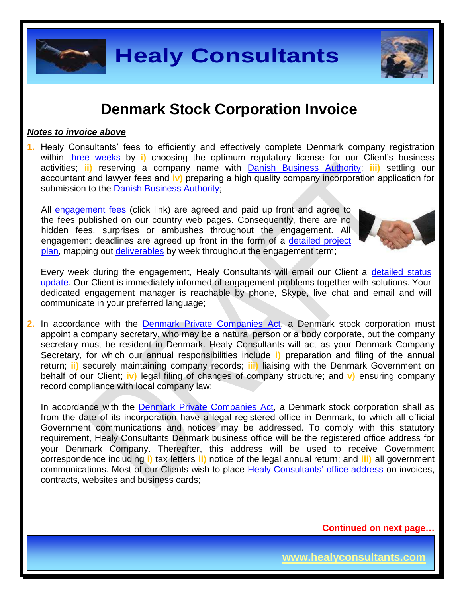### **Denmark Stock Corporation Invoice**

#### *Notes to invoice above*

communicate in your preferred language;

**1.** Healy Consultants' fees to efficiently and effectively complete Denmark company registration within three [weeks](http://www.healyconsultants.com/denmark-company-registration/fees-timelines/#timelines) by i) choosing the optimum regulatory license for our Client's business activities; **ii)** reserving a company name with [Danish Business Authority;](https://danishbusinessauthority.dk/) **iii)** settling our accountant and lawyer fees and **iv)** preparing a high quality company incorporation application for submission to the [Danish Business Authority;](https://danishbusinessauthority.dk/)

All [engagement fees](http://www.healyconsultants.com/company-registration-fees/) (click link) are agreed and paid up front and agree to the fees published on our country web pages. Consequently, there are no hidden fees, surprises or ambushes throughout the engagement. All engagement deadlines are agreed up front in the form of a [detailed project](http://www.healyconsultants.com/index-important-links/example-project-plan/)  [plan,](http://www.healyconsultants.com/index-important-links/example-project-plan/) mapping out [deliverables](http://www.healyconsultants.com/deliverables-to-our-clients/) by week throughout the engagement term;

Every week during the engagement, Healy Consultants will email our Client a [detailed status](http://www.healyconsultants.com/index-important-links/weekly-engagement-status-email/)  [update.](http://www.healyconsultants.com/index-important-links/weekly-engagement-status-email/) Our Client is immediately informed of engagement problems together with solutions. Your dedicated engagement manager is reachable by phone, Skype, live chat and email and will

**2.** In accordance with the [Denmark Private Companies Act,](http://www.eogs.dk/graphics/selskaber/APS_en.html) a Denmark stock corporation must appoint a company secretary, who may be a natural person or a body corporate, but the company secretary must be resident in Denmark. Healy Consultants will act as your Denmark Company Secretary, for which our annual responsibilities include **i)** preparation and filing of the annual return; **ii)** securely maintaining company records; **iii)** liaising with the Denmark Government on behalf of our Client; **iv)** legal filing of changes of company structure; and **v)** ensuring company record compliance with local company law;

In accordance with the [Denmark Private Companies Act,](http://www.eogs.dk/graphics/selskaber/APS_en.html) a Denmark stock corporation shall as from the date of its incorporation have a legal registered office in Denmark, to which all official Government communications and notices may be addressed. To comply with this statutory requirement, Healy Consultants Denmark business office will be the registered office address for your Denmark Company. Thereafter, this address will be used to receive Government correspondence including **i)** tax letters **ii)** notice of the legal annual return; and **iii)** all government communications. Most of our Clients wish to place [Healy Consultants'](http://www.healyconsultants.com/corporate-outsourcing-services/company-secretary-and-legal-registered-office/) office address on invoices, contracts, websites and business cards;

**Continued on next page…**





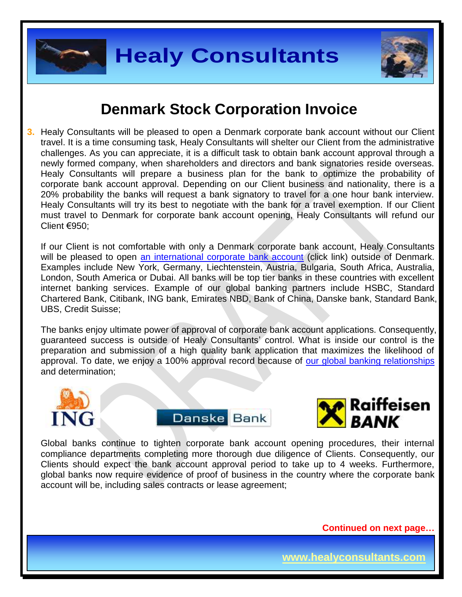



### **Denmark Stock Corporation Invoice**

**3.** Healy Consultants will be pleased to open a Denmark corporate bank account without our Client travel. It is a time consuming task, Healy Consultants will shelter our Client from the administrative challenges. As you can appreciate, it is a difficult task to obtain bank account approval through a newly formed company, when shareholders and directors and bank signatories reside overseas. Healy Consultants will prepare a business plan for the bank to optimize the probability of corporate bank account approval. Depending on our Client business and nationality, there is a 20% probability the banks will request a bank signatory to travel for a one hour bank interview. Healy Consultants will try its best to negotiate with the bank for a travel exemption. If our Client must travel to Denmark for corporate bank account opening, Healy Consultants will refund our Client €950;

If our Client is not comfortable with only a Denmark corporate bank account, Healy Consultants will be pleased to open [an international corporate bank account](http://www.healyconsultants.com/international-banking/) (click link) outside of Denmark. Examples include New York, Germany, Liechtenstein, Austria, Bulgaria, South Africa, Australia, London, South America or Dubai. All banks will be top tier banks in these countries with excellent internet banking services. Example of our global banking partners include HSBC, Standard Chartered Bank, Citibank, ING bank, Emirates NBD, Bank of China, Danske bank, Standard Bank, UBS, Credit Suisse;

The banks enjoy ultimate power of approval of corporate bank account applications. Consequently, guaranteed success is outside of Healy Consultants' control. What is inside our control is the preparation and submission of a high quality bank application that maximizes the likelihood of approval. To date, we enjoy a 100% approval record because of [our global banking relationships](http://www.healyconsultants.com/international-banking/corporate-accounts/) and determination;







Global banks continue to tighten corporate bank account opening procedures, their internal compliance departments completing more thorough due diligence of Clients. Consequently, our Clients should expect the bank account approval period to take up to 4 weeks. Furthermore, global banks now require evidence of proof of business in the country where the corporate bank account will be, including sales contracts or lease agreement;

**Continued on next page…**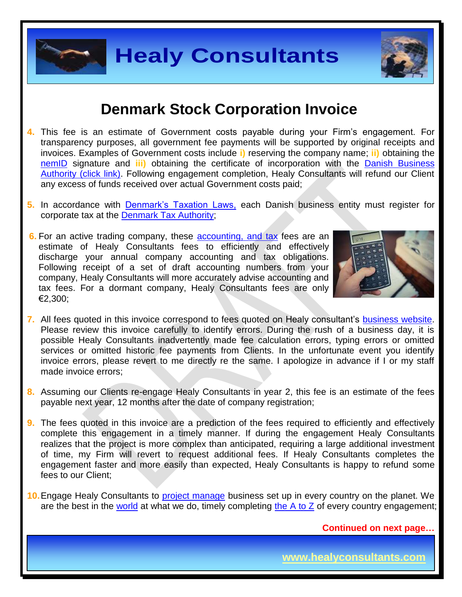#### **Denmark Stock Corporation Invoice**

- **4.** This fee is an estimate of Government costs payable during your Firm's engagement. For transparency purposes, all government fee payments will be supported by original receipts and invoices. Examples of Government costs include **i)** reserving the company name; **ii)** obtaining the [nemID](https://www.nemid.nu/dk-en/) signature and **iii)** obtaining the certificate of incorporation with the [Danish Business](https://danishbusinessauthority.dk/)  [Authority \(click link\).](https://danishbusinessauthority.dk/) Following engagement completion, Healy Consultants will refund our Client any excess of funds received over actual Government costs paid;
- **5.** In accordance with [Denmark's Taxation Laws,](http://www.skat.dk/skat.aspx?oId=2068705&vId=0) each Danish business entity must register for corporate tax at the Denmark [Tax Authority;](https://www.tatime.gov.al/sq-al/Pages/default.aspx)
- **6.** For an active trading company, these [accounting,](http://www.healyconsultants.com/denmark-company-registration/accounting-legal/) and tax fees are an estimate of Healy Consultants fees to efficiently and effectively discharge your annual company accounting and tax obligations. Following receipt of a set of draft accounting numbers from your company, Healy Consultants will more accurately advise accounting and tax fees. For a dormant company, Healy Consultants fees are only €2,300;



- **7.** All fees quoted in this invoice correspond to fees quoted on Healy consultant's [business website.](http://www.healyconsultants.com/company-registration-fees/) Please review this invoice carefully to identify errors. During the rush of a business day, it is possible Healy Consultants inadvertently made fee calculation errors, typing errors or omitted services or omitted historic fee payments from Clients. In the unfortunate event you identify invoice errors, please revert to me directly re the same. I apologize in advance if I or my staff made invoice errors;
- **8.** Assuming our Clients re-engage Healy Consultants in year 2, this fee is an estimate of the fees payable next year, 12 months after the date of company registration;
- **9.** The fees quoted in this invoice are a prediction of the fees required to efficiently and effectively complete this engagement in a timely manner. If during the engagement Healy Consultants realizes that the project is more complex than anticipated, requiring a large additional investment of time, my Firm will revert to request additional fees. If Healy Consultants completes the engagement faster and more easily than expected, Healy Consultants is happy to refund some fees to our Client;
- **10.**Engage Healy Consultants to [project manage](http://www.healyconsultants.com/project-manage-engagements/) business set up in every country on the planet. We are the best in the [world](http://www.healyconsultants.com/best-in-the-world/) at what we do, timely completing the  $A$  to  $Z$  of every country engagement;

**Continued on next page…**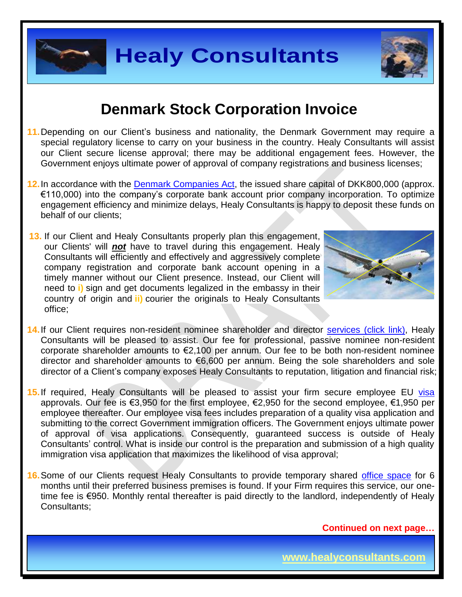

## **Denmark Stock Corporation Invoice**

- **11.**Depending on our Client's business and nationality, the Denmark Government may require a special regulatory license to carry on your business in the country. Healy Consultants will assist our Client secure license approval; there may be additional engagement fees. However, the Government enjoys ultimate power of approval of company registrations and business licenses;
- **12.**In accordance with the [Denmark Companies Act,](http://www.eogs.dk/graphics/selskaber/APS_en.html) the issued share capital of DKK800,000 (approx. €110,000) into the company's corporate bank account prior company incorporation. To optimize engagement efficiency and minimize delays, Healy Consultants is happy to deposit these funds on behalf of our clients;
- **13.** If our Client and Healy Consultants properly plan this engagement, our Clients' will *not* have to travel during this engagement. Healy Consultants will efficiently and effectively and aggressively complete company registration and corporate bank account opening in a timely manner without our Client presence. Instead, our Client will need to **i)** sign and get documents legalized in the embassy in their country of origin and **ii)** courier the originals to Healy Consultants office;



- 14. If our Client requires non-resident nominee shareholder and director services [\(click link\),](http://www.healyconsultants.com/corporate-outsourcing-services/nominee-shareholders-directors/) Healy Consultants will be pleased to assist. Our fee for professional, passive nominee non-resident corporate shareholder amounts to  $\epsilon$ 2,100 per annum. Our fee to be both non-resident nominee director and shareholder amounts to €6,600 per annum. Being the sole shareholders and sole director of a Client's company exposes Healy Consultants to reputation, litigation and financial risk;
- **15.** If required, Healy Consultants will be pleased to assist your firm secure employee EU visa approvals. Our fee is €3,950 for the first employee, €2,950 for the second employee, €1,950 per employee thereafter. Our employee visa fees includes preparation of a quality visa application and submitting to the correct Government immigration officers. The Government enjoys ultimate power of approval of visa applications. Consequently, guaranteed success is outside of Healy Consultants' control. What is inside our control is the preparation and submission of a high quality immigration visa application that maximizes the likelihood of visa approval;
- **16.**Some of our Clients request Healy Consultants to provide temporary shared [office space](http://www.healyconsultants.com/virtual-office/) for 6 months until their preferred business premises is found. If your Firm requires this service, our onetime fee is €950. Monthly rental thereafter is paid directly to the landlord, independently of Healy Consultants;

**Continued on next page…**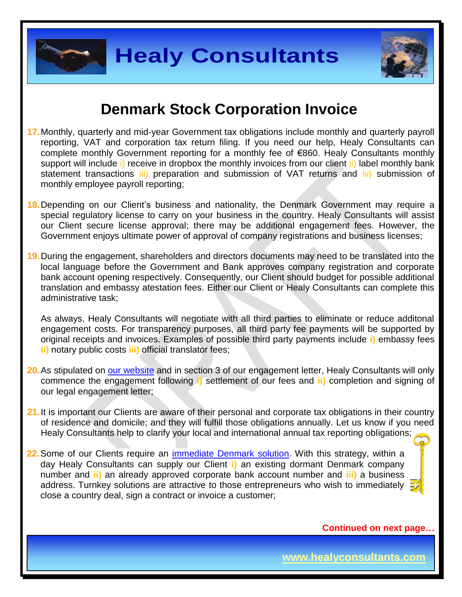

### **Denmark Stock Corporation Invoice**

- **17.**Monthly, quarterly and mid-year Government tax obligations include monthly and quarterly payroll reporting, VAT and corporation tax return filing. If you need our help, Healy Consultants can complete monthly Government reporting for a monthly fee of €860. Healy Consultants monthly support will include i) receive in dropbox the monthly invoices from our client ii) label monthly bank statement transactions  $\overline{iii}$  preparation and submission of VAT returns and  $\overline{iv}$  submission of monthly employee payroll reporting;
- **18.**Depending on our Client's business and nationality, the Denmark Government may require a special regulatory license to carry on your business in the country. Healy Consultants will assist our Client secure license approval; there may be additional engagement fees. However, the Government enjoys ultimate power of approval of company registrations and business licenses;
- **19.**During the engagement, shareholders and directors documents may need to be translated into the local language before the Government and Bank approves company registration and corporate bank account opening respectively. Consequently, our Client should budget for possible additional translation and embassy atestation fees. Either our Client or Healy Consultants can complete this administrative task;

As always, Healy Consultants will negotiate with all third parties to eliminate or reduce additonal engagement costs. For transparency purposes, all third party fee payments will be supported by original receipts and invoices. Examples of possible third party payments include **i)** embassy fees **ii)** notary public costs **iii)** official translator fees;

- **20.**As stipulated on [our website](http://www.healyconsultants.com/) and in section 3 of our engagement letter, Healy Consultants will only commence the engagement following **i)** settlement of our fees and **ii)** completion and signing of our legal engagement letter;
- 21. It is important our Clients are aware of their personal and corporate tax obligations in their country of residence and domicile; and they will fulfill those obligations annually. Let us know if you need Healy Consultants help to clarify your local and international annual tax reporting obligations;
- **22.**Some of our Clients require an [immediate Denmark](http://www.healyconsultants.com/turnkey-solutions/) solution. With this strategy, within a day Healy Consultants can supply our Client **i)** an existing dormant Denmark company number and **ii)** an already approved corporate bank account number and **iii)** a business address. Turnkey solutions are attractive to those entrepreneurs who wish to immediately close a country deal, sign a contract or invoice a customer;

**Continued on next page…**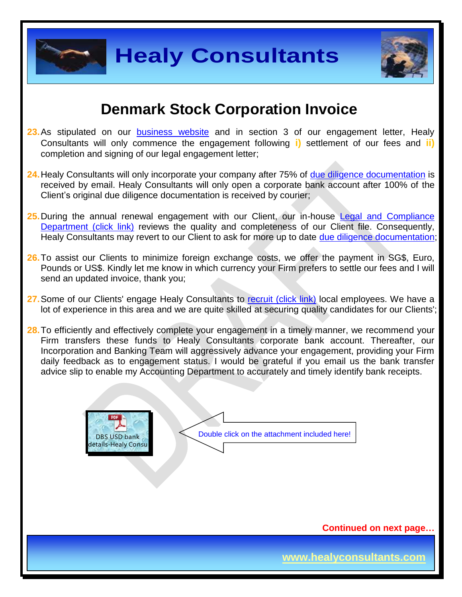



### **Denmark Stock Corporation Invoice**

- 23. As stipulated on our [business website](http://www.healyconsultants.com/) and in section 3 of our engagement letter, Healy Consultants will only commence the engagement following **i)** settlement of our fees and **ii)** completion and signing of our legal engagement letter;
- **24.**Healy Consultants will only incorporate your company after 75% of [due diligence documentation](http://www.healyconsultants.com/due-diligence/) is received by email. Healy Consultants will only open a corporate bank account after 100% of the Client's original due diligence documentation is received by courier;
- **25.**During the annual renewal engagement with our Client, our in-house [Legal and Compliance](http://www.healyconsultants.com/about-us/key-personnel/cai-xin-profile/)  [Department \(click link\)](http://www.healyconsultants.com/about-us/key-personnel/cai-xin-profile/) reviews the quality and completeness of our Client file. Consequently, Healy Consultants may revert to our Client to ask for more up to date [due diligence documentation;](http://www.healyconsultants.com/due-diligence/)
- **26.**To assist our Clients to minimize foreign exchange costs, we offer the payment in SG\$, Euro, Pounds or US\$. Kindly let me know in which currency your Firm prefers to settle our fees and I will send an updated invoice, thank you;
- 27. Some of our Clients' engage Healy Consultants to [recruit \(click link\)](http://www.healyconsultants.com/corporate-outsourcing-services/how-we-help-our-clients-recruit-quality-employees/) local employees. We have a lot of experience in this area and we are quite skilled at securing quality candidates for our Clients';

28. To efficiently and effectively complete your engagement in a timely manner, we recommend your Firm transfers these funds to Healy Consultants corporate bank account. Thereafter, our Incorporation and Banking Team will aggressively advance your engagement, providing your Firm daily feedback as to engagement status. I would be grateful if you email us the bank transfer advice slip to enable my Accounting Department to accurately and timely identify bank receipts.



**Continued on next page…**